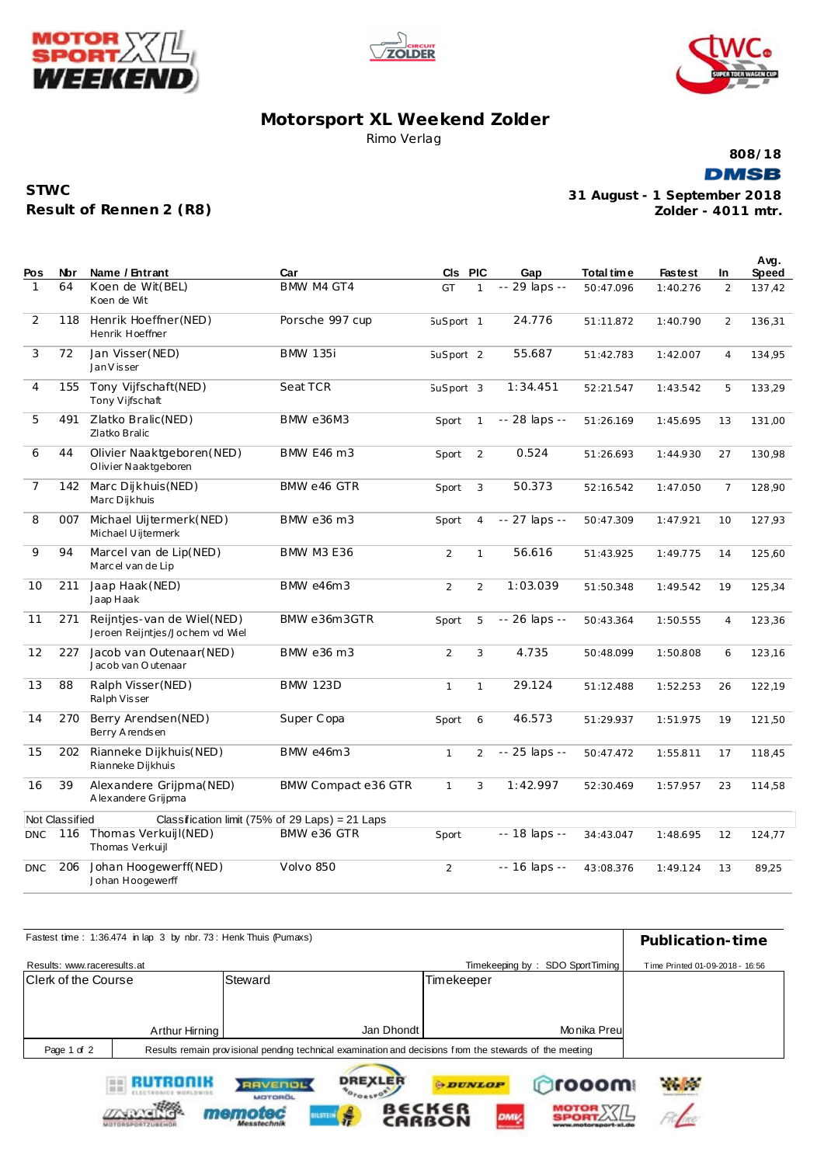





## **Motorsport XL Weekend Zolder** Rimo Verlag

**808/18**

**DMSB** 

| <b>STWC</b>             |
|-------------------------|
| Result of Rennen 2 (R8) |

**STARKER** 

memoted

ilstr

**Zolder - 4011 mtr. 31 August - 1 September 2018**

 $A$ 

MOTOR XX/L

| Pos            | Nbr            | Name / Entrant                                                | Car                                             | CIs PIC              |                | Gap            | Total time | <b>Fastest</b> | <b>In</b>      | Avg.<br>Speed |
|----------------|----------------|---------------------------------------------------------------|-------------------------------------------------|----------------------|----------------|----------------|------------|----------------|----------------|---------------|
| 1              | 64             | Koen de Wit(BEL)<br>Koen de Wit                               | BMW M4 GT4                                      | GT                   | $\mathbf{1}$   | -- 29 laps --  | 50:47.096  | 1:40.276       | $\overline{2}$ | 137,42        |
| 2              | 118            | Henrik Hoeffner (NED)<br>Henrik Hoeffner                      | Porsche 997 cup                                 | SuSport 1            |                | 24.776         | 51:11.872  | 1:40.790       | $\overline{2}$ | 136,31        |
| 3              | 72             | Jan Visser (NED)<br>Jan V is ser                              | <b>BMW 135i</b>                                 | SuSport <sub>2</sub> |                | 55.687         | 51:42.783  | 1:42.007       | $\overline{4}$ | 134,95        |
| $\overline{4}$ | 155            | Tony Vijfschaft(NED)<br>Tony Vijfschaft                       | Seat TCR                                        | SuSport 3            |                | 1:34.451       | 52:21.547  | 1:43.542       | 5              | 133,29        |
| 5              | 491            | Zlatko Bralic (NED)<br>Zlatko Bralic                          | <b>BMW e36M3</b>                                | Sport                | $\mathbf{1}$   | -- 28 laps --  | 51:26.169  | 1:45.695       | 13             | 131,00        |
| 6              | 44             | Olivier Naaktgeboren (NED)<br>Olivier Naaktgeboren            | <b>BMW E46 m3</b>                               | Sport                | $\overline{2}$ | 0.524          | 51:26.693  | 1:44.930       | 27             | 130,98        |
| $\overline{7}$ | 142            | Marc Dijkhuis (NED)<br>Marc Dijkhuis                          | BMW e46 GTR                                     | Sport                | 3              | 50.373         | 52:16.542  | 1:47.050       | $\overline{7}$ | 128,90        |
| 8              | 007            | Michael Uijtermerk(NED)<br>Michael Uijtermerk                 | BMW e36 m3                                      | Sport                | $\overline{4}$ | -- 27 laps --  | 50:47.309  | 1:47.921       | 10             | 127,93        |
| 9              | 94             | Marcel van de Lip(NED)<br>Marcel van de Lip                   | <b>BMW M3 E36</b>                               | $\overline{2}$       | $\mathbf{1}$   | 56.616         | 51:43.925  | 1:49.775       | 14             | 125,60        |
| 10             | 211            | Jaap Haak (NED)<br>Jaap Haak                                  | <b>BMW e46m3</b>                                | $\overline{2}$       | $\overline{2}$ | 1:03.039       | 51:50.348  | 1:49.542       | 19             | 125,34        |
| 11             | 271            | Reijntjes-van de Wiel(NED)<br>Jeroen Reijntjes/Jochem vd Wiel | BMW e36m3GTR                                    | Sport                | 5              | -- 26 laps --  | 50:43.364  | 1:50.555       | $\overline{4}$ | 123,36        |
| 12             | 227            | Jacob van Outenaar(NED)<br>Jacob van Outenaar                 | BMW e36 m3                                      | $\overline{2}$       | 3              | 4.735          | 50:48.099  | 1:50.808       | 6              | 123,16        |
| 13             | 88             | Ralph Visser (NED)<br>Ralph Visser                            | <b>BMW 123D</b>                                 | $\mathbf{1}$         | $\mathbf{1}$   | 29.124         | 51:12.488  | 1:52.253       | 26             | 122,19        |
| 14             | 270            | Berry Arendsen (NED)<br>Berry Arendsen                        | Super Copa                                      | Sport                | 6              | 46.573         | 51:29.937  | 1:51.975       | 19             | 121,50        |
| 15             | 202            | Rianneke Dijkhuis(NED)<br>Rianneke Dijkhuis                   | <b>BMW e46m3</b>                                | $\mathbf{1}$         | $\overline{2}$ | -- 25 laps --  | 50:47.472  | 1:55.811       | 17             | 118,45        |
| 16             | 39             | Alexandere Grijpma(NED)<br>A lexandere Grijpma                | BMW Compact e36 GTR                             | $\mathbf{1}$         | 3              | 1:42.997       | 52:30.469  | 1:57.957       | 23             | 114,58        |
|                | Not Classified |                                                               | Classification limit (75% of 29 Laps) = 21 Laps |                      |                |                |            |                |                |               |
| <b>DNC</b>     | 116            | Thomas Verkuijl(NED)<br>Thomas Verkuijl                       | BMW e36 GTR                                     | Sport                |                | $-18$ laps $-$ | 34:43.047  | 1:48.695       | 12             | 124,77        |
| <b>DNC</b>     | 206            | Johan Hoogewerff(NED)<br>Johan Hoogewerff                     | Volvo 850                                       | $\overline{2}$       |                | -- 16 laps --  | 43:08.376  | 1:49.124       | 13             | 89,25         |

|                             | Fastest time: 1:36.474 in lap 3 by nbr. 73: Henk Thuis (Pumaxs) |                                                                                                         |                |                |                                 | Publication-time                |
|-----------------------------|-----------------------------------------------------------------|---------------------------------------------------------------------------------------------------------|----------------|----------------|---------------------------------|---------------------------------|
| Results: www.raceresults.at |                                                                 |                                                                                                         |                |                | Timekeeping by: SDO SportTiming | Time Printed 01-09-2018 - 16:56 |
| Clerk of the Course         |                                                                 | Steward                                                                                                 |                | Timekeeper     |                                 |                                 |
|                             |                                                                 |                                                                                                         |                |                |                                 |                                 |
|                             |                                                                 |                                                                                                         |                |                |                                 |                                 |
|                             | Arthur Hirning                                                  |                                                                                                         | Jan Dhondt     |                | Monika Preul                    |                                 |
| Page 1 of 2                 |                                                                 | Results remain provisional pending technical examination and decisions from the stewards of the meeting |                |                |                                 |                                 |
|                             | RUTRONIK                                                        | <b>RAVENOL</b><br><b>MOTOROL</b>                                                                        | <b>DREXLER</b> | <b>ODUNLOP</b> | prooom                          | <b>Philadelphia</b>             |

**BECKER**